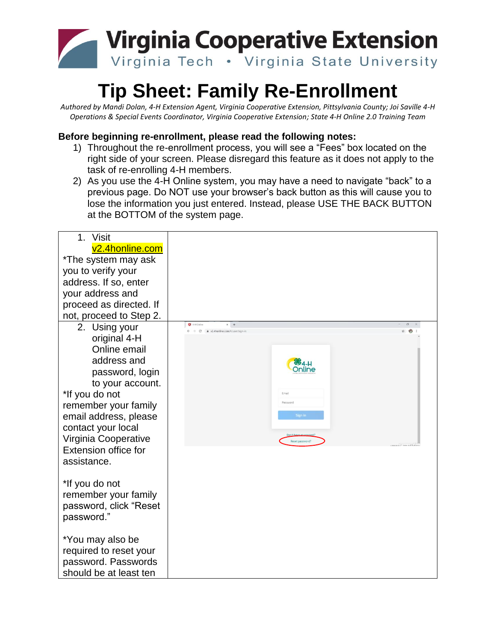

### **Tip Sheet: Family Re-Enrollment**

*Authored by Mandi Dolan, 4-H Extension Agent, Virginia Cooperative Extension, Pittsylvania County; Joi Saville 4-H Operations & Special Events Coordinator, Virginia Cooperative Extension; State 4-H Online 2.0 Training Team*

### **Before beginning re-enrollment, please read the following notes:**

- 1) Throughout the re-enrollment process, you will see a "Fees" box located on the right side of your screen. Please disregard this feature as it does not apply to the task of re-enrolling 4-H members.
- 2) As you use the 4-H Online system, you may have a need to navigate "back" to a previous page. Do NOT use your browser's back button as this will cause you to lose the information you just entered. Instead, please USE THE BACK BUTTON at the BOTTOM of the system page.

| 1.<br><b>Visit</b>           |                                                                                                       |                                            |
|------------------------------|-------------------------------------------------------------------------------------------------------|--------------------------------------------|
| v <sub>2.4</sub> honline.com |                                                                                                       |                                            |
| *The system may ask          |                                                                                                       |                                            |
| you to verify your           |                                                                                                       |                                            |
| address. If so, enter        |                                                                                                       |                                            |
| your address and             |                                                                                                       |                                            |
| proceed as directed. If      |                                                                                                       |                                            |
| not, proceed to Step 2.      |                                                                                                       |                                            |
| 2. Using your                | <b>3</b> 4-H Online<br>$x +$<br>$\leftarrow$ $\rightarrow$ C $\bullet$ v2.4honline.com/#/user/sign-in | ø<br>ò.                                    |
| original 4-H                 |                                                                                                       |                                            |
| Online email                 |                                                                                                       |                                            |
| address and                  |                                                                                                       |                                            |
| password, login              |                                                                                                       | )nline                                     |
| to your account.             |                                                                                                       |                                            |
| *If you do not               | Email                                                                                                 |                                            |
| remember your family         | Password                                                                                              |                                            |
| email address, please        |                                                                                                       | Sign in                                    |
| contact your local           |                                                                                                       |                                            |
| Virginia Cooperative         |                                                                                                       | Reset password?<br>a vi 21 new notificatio |
| Extension office for         |                                                                                                       |                                            |
| assistance.                  |                                                                                                       |                                            |
|                              |                                                                                                       |                                            |
| *If you do not               |                                                                                                       |                                            |
| remember your family         |                                                                                                       |                                            |
| password, click "Reset       |                                                                                                       |                                            |
| password."                   |                                                                                                       |                                            |
|                              |                                                                                                       |                                            |
| *You may also be             |                                                                                                       |                                            |
| required to reset your       |                                                                                                       |                                            |
| password. Passwords          |                                                                                                       |                                            |
| should be at least ten       |                                                                                                       |                                            |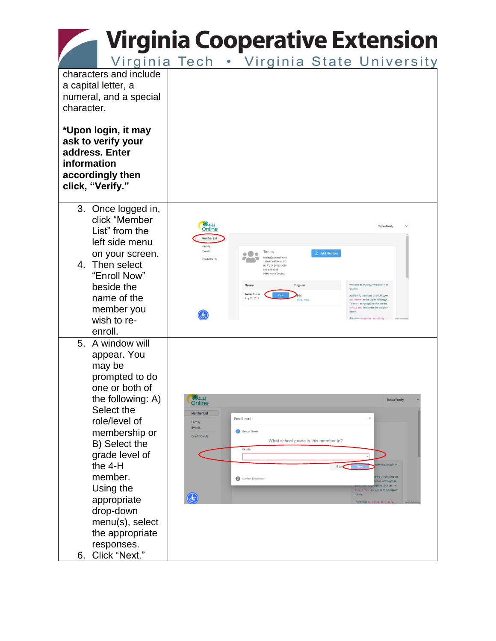Virginia Tech . Virginia State University

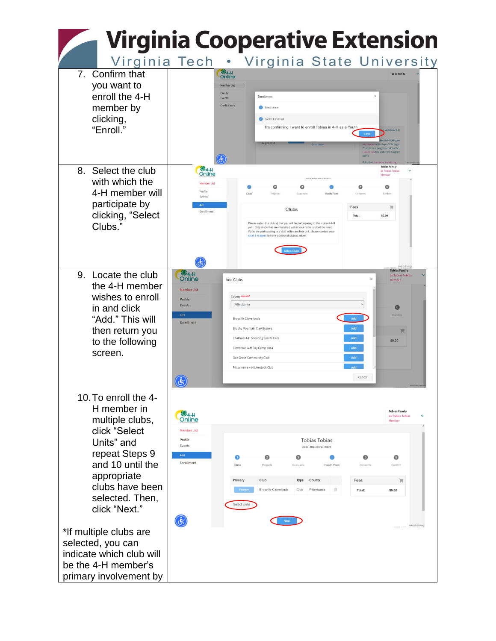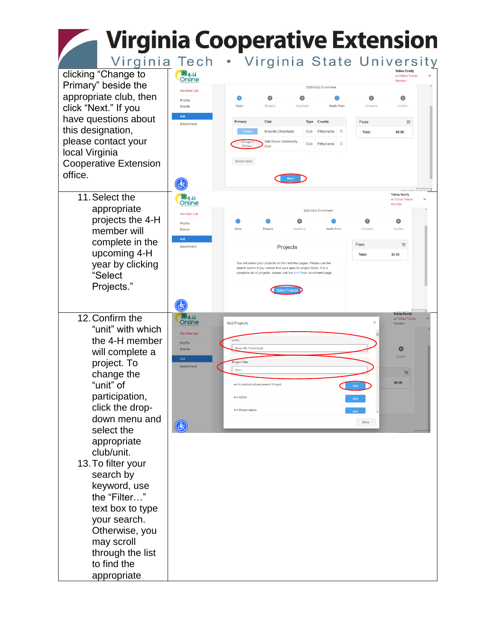Virginia Tech . Virginia State University

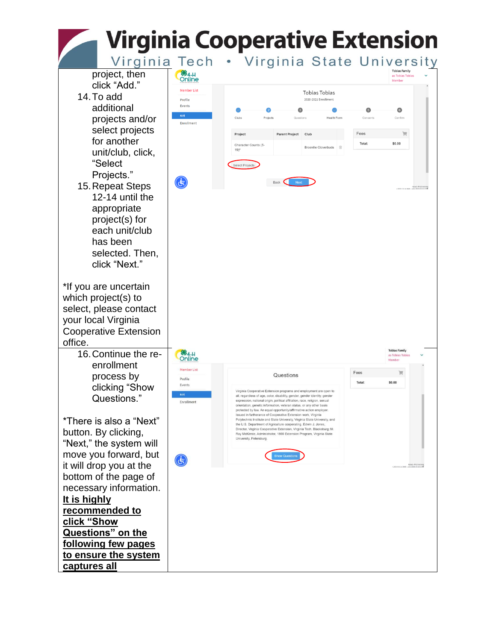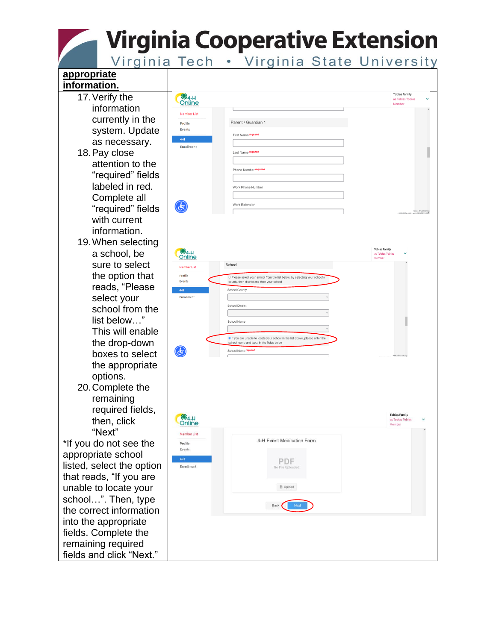Virginia Tech . Virginia State University

#### **appropriate information. Tobias Famil** 17.Verify the **%4-H**<br>Online as Tobias Tobia Member information Member List currently in the Parent / Guardian 1 Profile system. Update Events First Name required  $4-H$ as necessary. Enrollment 18.Pay close Last Name required attention to the Phone Number required "required" fields labeled in red. Work Phone Number Complete all  $\mathbf{G}$ Work Extension "required" fields with current information. 19.When selecting **S**<br>Online a school, be sure to select School .<br>Mamhar Lie the option that **Profile** O Please select your school from the list below, by selecting<br>county, then district and then your school Events reads, "Please School Count select your Enrollmen School District school from the list below…" School Name This will enable If you are unable to locate your school in the list abe school name and type, in the fields below the drop-down  $\mathbf{G}$ School Name<sup>re</sup> boxes to select the appropriate options. 20.Complete the remaining required fields, **Tobias Family 8**4-H then, click as Tobias Tobia Membe "Next" Member List 4-H Event Medication Form \*If you do not see the Profile Events appropriate school  $4-H$ **PDF** listed, select the option Enrollment that reads, "If you are unable to locate your  $\mathbb{B}$  Upload school…". Then, type Back the correct information into the appropriate fields. Complete the remaining required fields and click "Next."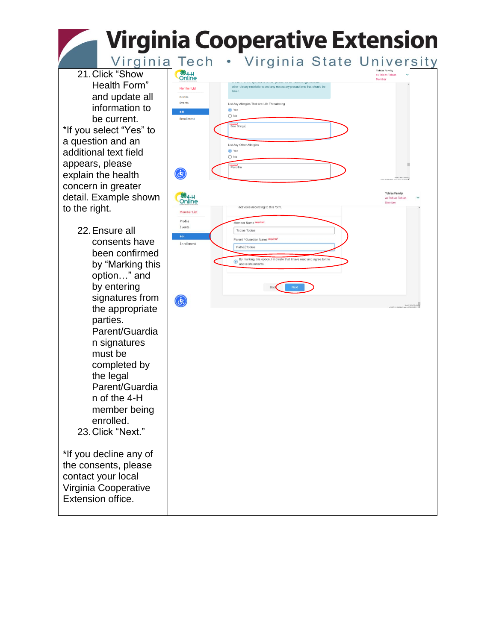Virginia Tech . Virginia State University

21.Click "Show Health Form" and update all information to be current. \*If you select "Yes" to a question and an additional text field appears, please explain the health concern in greater detail. Example shown to the right.

22.Ensure all consents have been confirmed by "Marking this option…" and by entering signatures from the appropriate parties. Parent/Guardia n signatures must be completed by the legal Parent/Guardia n of the 4-H member being enrolled. 23.Click "Next." \*If you decline any of the consents, please

contact your local Virginia Cooperative Extension office.